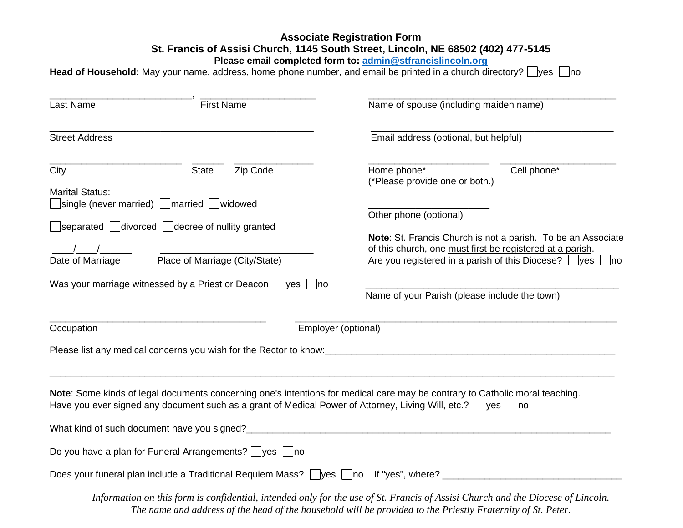## **Associate Registration Form St. Francis of Assisi Church, 1145 South Street, Lincoln, NE 68502 (402) 477-5145**

**Please email completed form to: [admin@stfrancislincoln.org](mailto:admin@stfrancislincoln.org)**

Head of Household: May your name, address, home phone number, and email be printed in a church directory? **Wes no**no

| <b>Last Name</b>       | <b>First Name</b>                                                                                                       | Name of spouse (including maiden name)                                                                                                                                                                                      |  |  |
|------------------------|-------------------------------------------------------------------------------------------------------------------------|-----------------------------------------------------------------------------------------------------------------------------------------------------------------------------------------------------------------------------|--|--|
| <b>Street Address</b>  |                                                                                                                         | Email address (optional, but helpful)                                                                                                                                                                                       |  |  |
| City                   | Zip Code<br><b>State</b>                                                                                                | Home phone*<br>Cell phone*<br>(*Please provide one or both.)                                                                                                                                                                |  |  |
| <b>Marital Status:</b> | single (never married) married widowed                                                                                  | Other phone (optional)<br>Note: St. Francis Church is not a parish. To be an Associate<br>of this church, one must first be registered at a parish.<br>Are you registered in a parish of this Diocese? $\Box$ yes $\Box$ no |  |  |
|                        | $\Box$ separated $\Box$ divorced $\Box$ decree of nullity granted<br>Date of Marriage Place of Marriage (City/State)    |                                                                                                                                                                                                                             |  |  |
|                        | Was your marriage witnessed by a Priest or Deacon $\vert \ \vert$ yes $\vert \ \vert$ no                                | Name of your Parish (please include the town)                                                                                                                                                                               |  |  |
| Occupation             | Employer (optional)                                                                                                     |                                                                                                                                                                                                                             |  |  |
|                        |                                                                                                                         | Please list any medical concerns you wish for the Rector to know:<br>and the manu-                                                                                                                                          |  |  |
|                        | Have you ever signed any document such as a grant of Medical Power of Attorney, Living Will, etc.? $\Box$ yes $\Box$ no | Note: Some kinds of legal documents concerning one's intentions for medical care may be contrary to Catholic moral teaching.                                                                                                |  |  |
|                        |                                                                                                                         |                                                                                                                                                                                                                             |  |  |
|                        | Do you have a plan for Funeral Arrangements? yes no                                                                     |                                                                                                                                                                                                                             |  |  |
|                        |                                                                                                                         | Does your funeral plan include a Traditional Requiem Mass? yes no If "yes", where? ___________________________                                                                                                              |  |  |
|                        |                                                                                                                         | Information on this form is confidential, intended only for the use of St. Francis of Assisi Church and the Diocese of Lincoln.                                                                                             |  |  |

*The name and address of the head of the household will be provided to the Priestly Fraternity of St. Peter.*